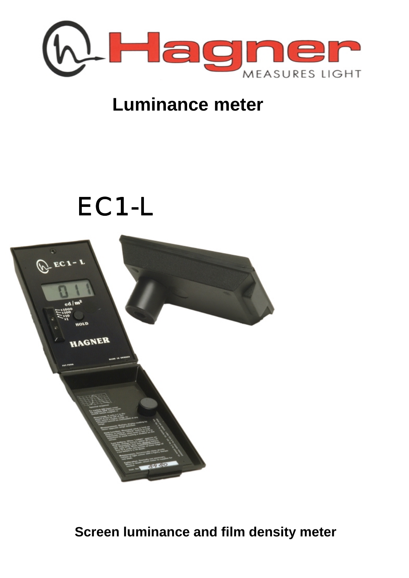

## **Luminance meter**

# EC1-L



### **Screen luminance and film density meter**